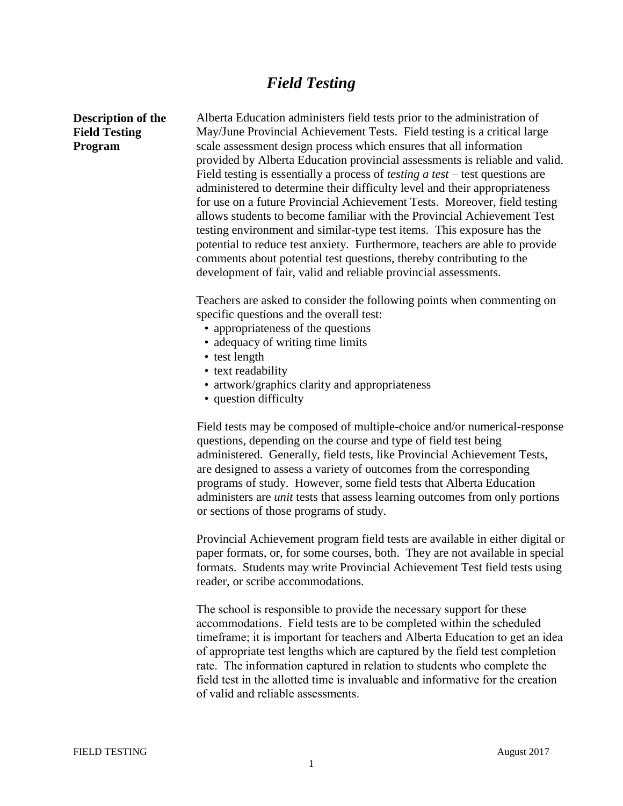## *Field Testing*

## **Description of the Field Testing Program**

Alberta Education administers field tests prior to the administration of May/June Provincial Achievement Tests. Field testing is a critical large scale assessment design process which ensures that all information provided by Alberta Education provincial assessments is reliable and valid. Field testing is essentially a process of *testing a test* – test questions are administered to determine their difficulty level and their appropriateness for use on a future Provincial Achievement Tests. Moreover, field testing allows students to become familiar with the Provincial Achievement Test testing environment and similar-type test items. This exposure has the potential to reduce test anxiety. Furthermore, teachers are able to provide comments about potential test questions, thereby contributing to the development of fair, valid and reliable provincial assessments.

Teachers are asked to consider the following points when commenting on specific questions and the overall test:

- appropriateness of the questions
- adequacy of writing time limits
- test length
- text readability
- artwork/graphics clarity and appropriateness
- question difficulty

Field tests may be composed of multiple-choice and/or numerical-response questions, depending on the course and type of field test being administered. Generally, field tests, like Provincial Achievement Tests, are designed to assess a variety of outcomes from the corresponding programs of study. However, some field tests that Alberta Education administers are *unit* tests that assess learning outcomes from only portions or sections of those programs of study.

Provincial Achievement program field tests are available in either digital or paper formats, or, for some courses, both. They are not available in special formats. Students may write Provincial Achievement Test field tests using reader, or scribe accommodations.

The school is responsible to provide the necessary support for these accommodations. Field tests are to be completed within the scheduled timeframe; it is important for teachers and Alberta Education to get an idea of appropriate test lengths which are captured by the field test completion rate. The information captured in relation to students who complete the field test in the allotted time is invaluable and informative for the creation of valid and reliable assessments.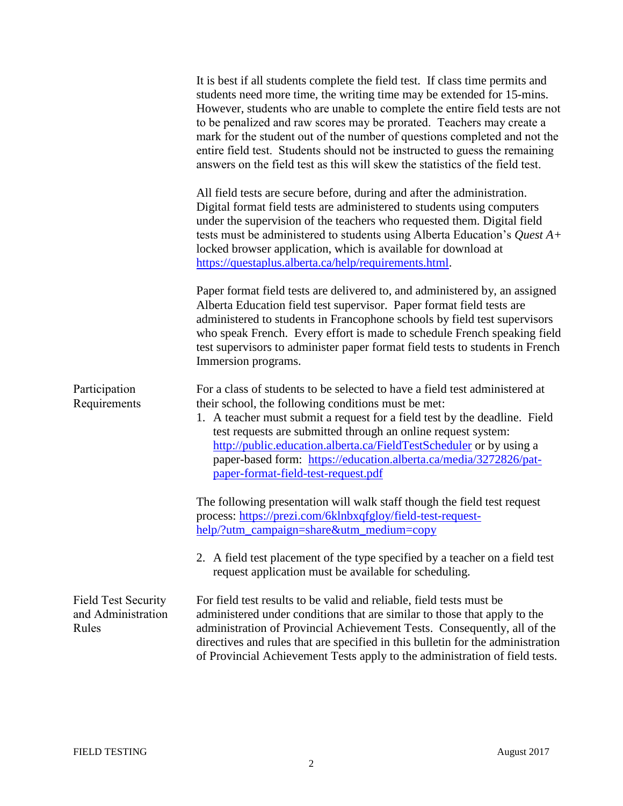|                                                           | It is best if all students complete the field test. If class time permits and<br>students need more time, the writing time may be extended for 15-mins.<br>However, students who are unable to complete the entire field tests are not<br>to be penalized and raw scores may be prorated. Teachers may create a<br>mark for the student out of the number of questions completed and not the<br>entire field test. Students should not be instructed to guess the remaining<br>answers on the field test as this will skew the statistics of the field test. |
|-----------------------------------------------------------|--------------------------------------------------------------------------------------------------------------------------------------------------------------------------------------------------------------------------------------------------------------------------------------------------------------------------------------------------------------------------------------------------------------------------------------------------------------------------------------------------------------------------------------------------------------|
|                                                           | All field tests are secure before, during and after the administration.<br>Digital format field tests are administered to students using computers<br>under the supervision of the teachers who requested them. Digital field<br>tests must be administered to students using Alberta Education's Quest $A+$<br>locked browser application, which is available for download at<br>https://questaplus.alberta.ca/help/requirements.html.                                                                                                                      |
|                                                           | Paper format field tests are delivered to, and administered by, an assigned<br>Alberta Education field test supervisor. Paper format field tests are<br>administered to students in Francophone schools by field test supervisors<br>who speak French. Every effort is made to schedule French speaking field<br>test supervisors to administer paper format field tests to students in French<br>Immersion programs.                                                                                                                                        |
| Participation<br>Requirements                             | For a class of students to be selected to have a field test administered at<br>their school, the following conditions must be met:<br>1. A teacher must submit a request for a field test by the deadline. Field<br>test requests are submitted through an online request system:<br>http://public.education.alberta.ca/FieldTestScheduler or by using a<br>paper-based form: https://education.alberta.ca/media/3272826/pat-<br>paper-format-field-test-request.pdf                                                                                         |
|                                                           | The following presentation will walk staff though the field test request<br>process: https://prezi.com/6klnbxqfgloy/field-test-request-<br>help/?utm_campaign=share&utm_medium=copy                                                                                                                                                                                                                                                                                                                                                                          |
|                                                           | 2. A field test placement of the type specified by a teacher on a field test<br>request application must be available for scheduling.                                                                                                                                                                                                                                                                                                                                                                                                                        |
| <b>Field Test Security</b><br>and Administration<br>Rules | For field test results to be valid and reliable, field tests must be<br>administered under conditions that are similar to those that apply to the<br>administration of Provincial Achievement Tests. Consequently, all of the<br>directives and rules that are specified in this bulletin for the administration<br>of Provincial Achievement Tests apply to the administration of field tests.                                                                                                                                                              |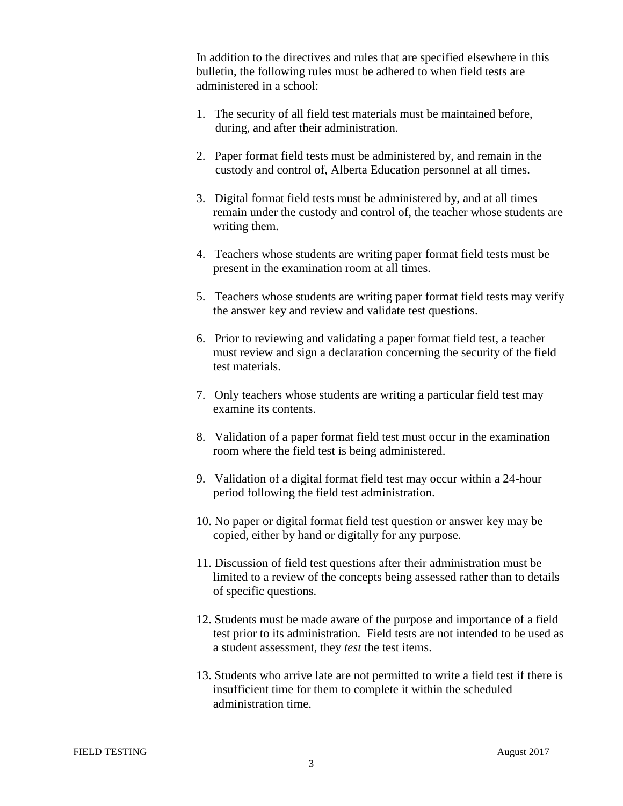In addition to the directives and rules that are specified elsewhere in this bulletin, the following rules must be adhered to when field tests are administered in a school:

- 1. The security of all field test materials must be maintained before, during, and after their administration.
- 2. Paper format field tests must be administered by, and remain in the custody and control of, Alberta Education personnel at all times.
- 3. Digital format field tests must be administered by, and at all times remain under the custody and control of, the teacher whose students are writing them.
- 4. Teachers whose students are writing paper format field tests must be present in the examination room at all times.
- 5. Teachers whose students are writing paper format field tests may verify the answer key and review and validate test questions.
- 6. Prior to reviewing and validating a paper format field test, a teacher must review and sign a declaration concerning the security of the field test materials.
- 7. Only teachers whose students are writing a particular field test may examine its contents.
- 8. Validation of a paper format field test must occur in the examination room where the field test is being administered.
- 9. Validation of a digital format field test may occur within a 24-hour period following the field test administration.
- 10. No paper or digital format field test question or answer key may be copied, either by hand or digitally for any purpose.
- 11. Discussion of field test questions after their administration must be limited to a review of the concepts being assessed rather than to details of specific questions.
- 12. Students must be made aware of the purpose and importance of a field test prior to its administration. Field tests are not intended to be used as a student assessment, they *test* the test items.
- 13. Students who arrive late are not permitted to write a field test if there is insufficient time for them to complete it within the scheduled administration time.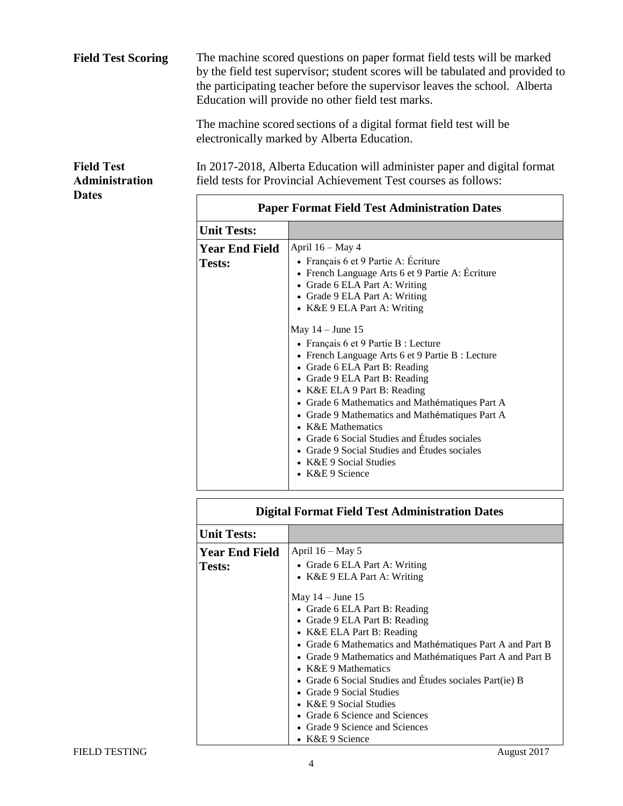| <b>Field Test Scoring</b>                                  |                                                     | The machine scored questions on paper format field tests will be marked<br>by the field test supervisor; student scores will be tabulated and provided to<br>the participating teacher before the supervisor leaves the school. Alberta<br>Education will provide no other field test marks.                                                     |  |
|------------------------------------------------------------|-----------------------------------------------------|--------------------------------------------------------------------------------------------------------------------------------------------------------------------------------------------------------------------------------------------------------------------------------------------------------------------------------------------------|--|
|                                                            |                                                     | The machine scored sections of a digital format field test will be<br>electronically marked by Alberta Education.                                                                                                                                                                                                                                |  |
| <b>Field Test</b><br><b>Administration</b><br><b>Dates</b> |                                                     | In 2017-2018, Alberta Education will administer paper and digital format<br>field tests for Provincial Achievement Test courses as follows:                                                                                                                                                                                                      |  |
|                                                            | <b>Paper Format Field Test Administration Dates</b> |                                                                                                                                                                                                                                                                                                                                                  |  |
|                                                            | <b>Unit Tests:</b>                                  |                                                                                                                                                                                                                                                                                                                                                  |  |
|                                                            | <b>Year End Field</b><br><b>Tests:</b>              | April $16 - May 4$<br>• Français 6 et 9 Partie A: Écriture<br>• French Language Arts 6 et 9 Partie A: Écriture<br>• Grade 6 ELA Part A: Writing<br>• Grade 9 ELA Part A: Writing<br>• K&E 9 ELA Part A: Writing                                                                                                                                  |  |
|                                                            |                                                     | May $14 -$ June 15<br>• Français 6 et 9 Partie B : Lecture<br>• French Language Arts 6 et 9 Partie B : Lecture<br>• Grade 6 ELA Part B: Reading<br>• Grade 9 ELA Part B: Reading<br>• K&E ELA 9 Part B: Reading<br>• Grade 6 Mathematics and Mathématiques Part A<br>• Grade 9 Mathematics and Mathématiques Part A<br>$\bullet$ K&E Mathematics |  |

| <b>Digital Format Field Test Administration Dates</b> |                                                                                                                                                                                                                                                                                                                                                                                                                                                                                                               |  |  |
|-------------------------------------------------------|---------------------------------------------------------------------------------------------------------------------------------------------------------------------------------------------------------------------------------------------------------------------------------------------------------------------------------------------------------------------------------------------------------------------------------------------------------------------------------------------------------------|--|--|
| <b>Unit Tests:</b>                                    |                                                                                                                                                                                                                                                                                                                                                                                                                                                                                                               |  |  |
| <b>Year End Field</b><br>Tests:                       | April $16 -$ May 5<br>• Grade 6 ELA Part A: Writing<br>• K&E 9 ELA Part A: Writing<br>May $14 -$ June 15<br>• Grade 6 ELA Part B: Reading<br>• Grade 9 ELA Part B: Reading<br>• K&E ELA Part B: Reading<br>• Grade 6 Mathematics and Mathématiques Part A and Part B<br>• Grade 9 Mathematics and Mathématiques Part A and Part B<br>• $K&E 9$ Mathematics<br>• Grade 6 Social Studies and Études sociales Part(ie) B<br>• Grade 9 Social Studies<br>• K&E 9 Social Studies<br>• Grade 6 Science and Sciences |  |  |
|                                                       | • Grade 9 Science and Sciences<br>$\bullet$ K&E 9 Science                                                                                                                                                                                                                                                                                                                                                                                                                                                     |  |  |

 Grade 6 Social Studies and Études sociales Grade 9 Social Studies and Études sociales

 K&E 9 Social Studies K&E 9 Science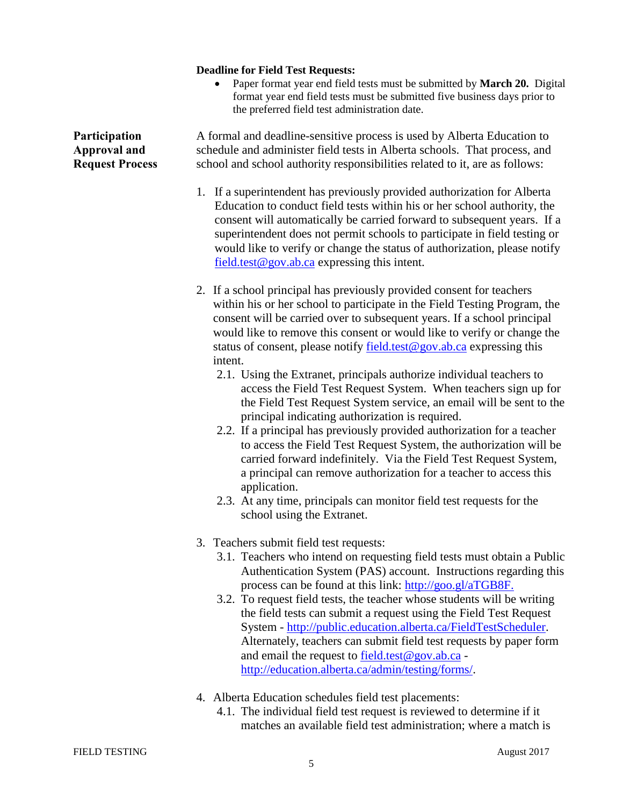## **Deadline for Field Test Requests:**

 Paper format year end field tests must be submitted by **March 20.** Digital format year end field tests must be submitted five business days prior to the preferred field test administration date.

**Participation Approval and Request Process**  A formal and deadline-sensitive process is used by Alberta Education to schedule and administer field tests in Alberta schools. That process, and school and school authority responsibilities related to it, are as follows: 1. If a superintendent has previously provided authorization for Alberta Education to conduct field tests within his or her school authority, the consent will automatically be carried forward to subsequent years. If a superintendent does not permit schools to participate in field testing or would like to verify or change the status of authorization, please notify [field.test@gov.ab.ca](mailto:field.test@gov.ab.ca) expressing this intent. 2. If a school principal has previously provided consent for teachers within his or her school to participate in the Field Testing Program, the consent will be carried over to subsequent years. If a school principal would like to remove this consent or would like to verify or change the status of consent, please notify [field.test@gov.ab.ca](mailto:field.test@gov.ab.ca) expressing this intent. 2.1. Using the Extranet, principals authorize individual teachers to access the Field Test Request System. When teachers sign up for the Field Test Request System service, an email will be sent to the principal indicating authorization is required. 2.2. If a principal has previously provided authorization for a teacher to access the Field Test Request System, the authorization will be carried forward indefinitely. Via the Field Test Request System, a principal can remove authorization for a teacher to access this application. 2.3. At any time, principals can monitor field test requests for the school using the Extranet. 3. Teachers submit field test requests: 3.1. Teachers who intend on requesting field tests must obtain a Public Authentication System (PAS) account. Instructions regarding this process can be found at this link: [http://goo.gl/aTGB8F.](http://goo.gl/aTGB8F) 3.2. To request field tests, the teacher whose students will be writing the field tests can submit a request using the Field Test Request System - [http://public.education.alberta.ca/FieldTestScheduler.](http://public.education.alberta.ca/FieldTestScheduler) Alternately, teachers can submit field test requests by paper form and email the request to [field.test@gov.ab.ca](mailto:field.test@gov.ab.ca) [http://education.alberta.ca/admin/testing/forms/.](http://education.alberta.ca/admin/testing/forms/)

- 4. Alberta Education schedules field test placements:
	- 4.1. The individual field test request is reviewed to determine if it matches an available field test administration; where a match is